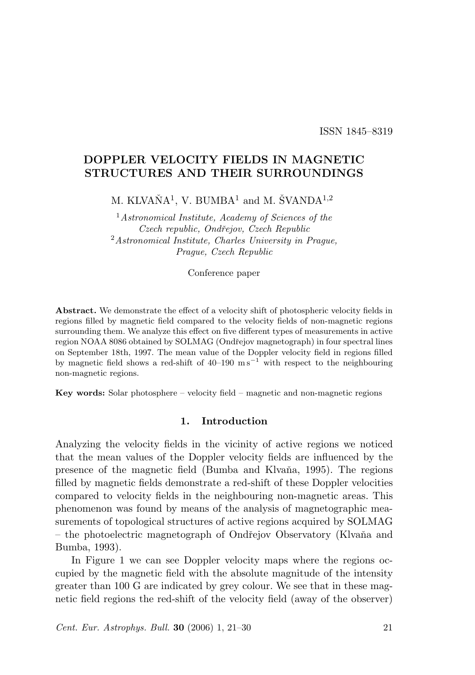ISSN 1845–8319

# DOPPLER VELOCITY FIELDS IN MAGNETIC STRUCTURES AND THEIR SURROUNDINGS

M. KLVAŇ $\mathbf{A}^1$ , V. BUMB $\mathbf{A}^1$  and M. ŠVAND $\mathbf{A}^{1,2}$ 

 $1$ Astronomical Institute, Academy of Sciences of the Czech republic, Ondřejov, Czech Republic <sup>2</sup>Astronomical Institute, Charles University in Prague, Prague, Czech Republic

Conference paper

Abstract. We demonstrate the effect of a velocity shift of photospheric velocity fields in regions filled by magnetic field compared to the velocity fields of non-magnetic regions surrounding them. We analyze this effect on five different types of measurements in active region NOAA 8086 obtained by SOLMAG (Ondřejov magnetograph) in four spectral lines on September 18th, 1997. The mean value of the Doppler velocity field in regions filled by magnetic field shows a red-shift of 40–190  $\text{m s}^{-1}$  with respect to the neighbouring non-magnetic regions.

Key words: Solar photosphere – velocity field – magnetic and non-magnetic regions

#### 1. Introduction

Analyzing the velocity fields in the vicinity of active regions we noticed that the mean values of the Doppler velocity fields are influenced by the presence of the magnetic field (Bumba and Klvaňa, 1995). The regions filled by magnetic fields demonstrate a red-shift of these Doppler velocities compared to velocity fields in the neighbouring non-magnetic areas. This phenomenon was found by means of the analysis of magnetographic measurements of topological structures of active regions acquired by SOLMAG – the photoelectric magnetograph of Ondˇrejov Observatory (Klvaˇna and Bumba, 1993).

In Figure 1 we can see Doppler velocity maps where the regions occupied by the magnetic field with the absolute magnitude of the intensity greater than 100 G are indicated by grey colour. We see that in these magnetic field regions the red-shift of the velocity field (away of the observer)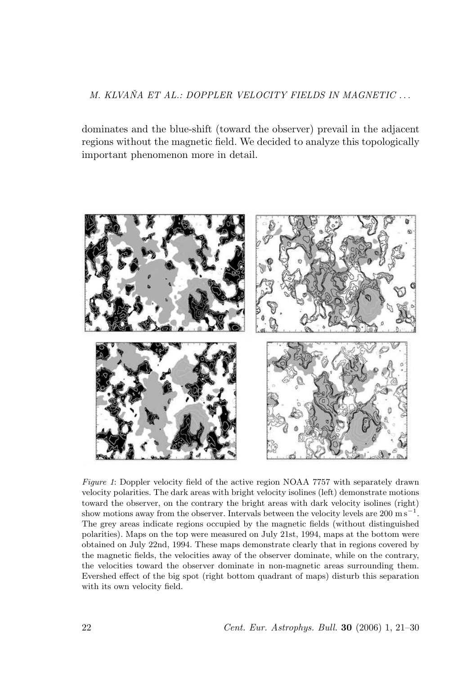## M. KLVAŇA ET AL.: DOPPLER VELOCITY FIELDS IN MAGNETIC ...

dominates and the blue-shift (toward the observer) prevail in the adjacent regions without the magnetic field. We decided to analyze this topologically important phenomenon more in detail.



Figure 1: Doppler velocity field of the active region NOAA 7757 with separately drawn velocity polarities. The dark areas with bright velocity isolines (left) demonstrate motions toward the observer, on the contrary the bright areas with dark velocity isolines (right) show motions away from the observer. Intervals between the velocity levels are  $200 \text{ m s}^{-1}$ . The grey areas indicate regions occupied by the magnetic fields (without distinguished polarities). Maps on the top were measured on July 21st, 1994, maps at the bottom were obtained on July 22nd, 1994. These maps demonstrate clearly that in regions covered by the magnetic fields, the velocities away of the observer dominate, while on the contrary, the velocities toward the observer dominate in non-magnetic areas surrounding them. Evershed effect of the big spot (right bottom quadrant of maps) disturb this separation with its own velocity field.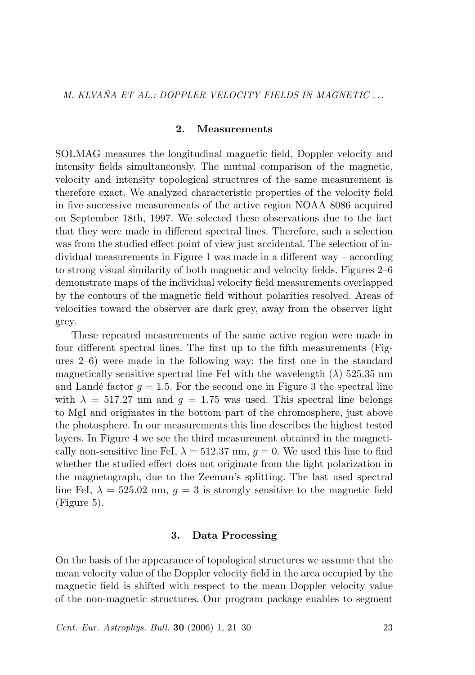#### 2. Measurements

SOLMAG measures the longitudinal magnetic field, Doppler velocity and intensity fields simultaneously. The mutual comparison of the magnetic, velocity and intensity topological structures of the same measurement is therefore exact. We analyzed characteristic properties of the velocity field in five successive measurements of the active region NOAA 8086 acquired on September 18th, 1997. We selected these observations due to the fact that they were made in different spectral lines. Therefore, such a selection was from the studied effect point of view just accidental. The selection of individual measurements in Figure 1 was made in a different way – according to strong visual similarity of both magnetic and velocity fields. Figures 2–6 demonstrate maps of the individual velocity field measurements overlapped by the contours of the magnetic field without polarities resolved. Areas of velocities toward the observer are dark grey, away from the observer light grey.

These repeated measurements of the same active region were made in four different spectral lines. The first up to the fifth measurements (Figures 2–6) were made in the following way: the first one in the standard magnetically sensitive spectral line FeI with the wavelength  $(\lambda)$  525.35 nm and Landé factor  $q = 1.5$ . For the second one in Figure 3 the spectral line with  $\lambda = 517.27$  nm and  $q = 1.75$  was used. This spectral line belongs to MgI and originates in the bottom part of the chromosphere, just above the photosphere. In our measurements this line describes the highest tested layers. In Figure 4 we see the third measurement obtained in the magnetically non-sensitive line FeI,  $\lambda = 512.37$  nm,  $g = 0$ . We used this line to find whether the studied effect does not originate from the light polarization in the magnetograph, due to the Zeeman's splitting. The last used spectral line FeI,  $\lambda = 525.02$  nm,  $q = 3$  is strongly sensitive to the magnetic field (Figure 5).

#### 3. Data Processing

On the basis of the appearance of topological structures we assume that the mean velocity value of the Doppler velocity field in the area occupied by the magnetic field is shifted with respect to the mean Doppler velocity value of the non-magnetic structures. Our program package enables to segment

Cent. Eur. Astrophys. Bull. 30 (2006) 1, 21–30 23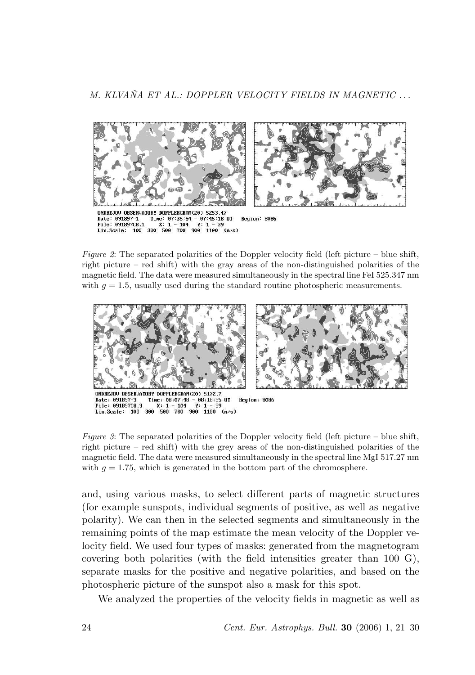

Figure 2: The separated polarities of the Doppler velocity field (left picture – blue shift, right picture – red shift) with the gray areas of the non-distinguished polarities of the magnetic field. The data were measured simultaneously in the spectral line FeI 525.347 nm with  $q = 1.5$ , usually used during the standard routine photospheric measurements.



Figure 3: The separated polarities of the Doppler velocity field (left picture – blue shift, right picture – red shift) with the grey areas of the non-distinguished polarities of the magnetic field. The data were measured simultaneously in the spectral line MgI 517.27 nm with  $g = 1.75$ , which is generated in the bottom part of the chromosphere.

and, using various masks, to select different parts of magnetic structures (for example sunspots, individual segments of positive, as well as negative polarity). We can then in the selected segments and simultaneously in the remaining points of the map estimate the mean velocity of the Doppler velocity field. We used four types of masks: generated from the magnetogram covering both polarities (with the field intensities greater than 100 G), separate masks for the positive and negative polarities, and based on the photospheric picture of the sunspot also a mask for this spot.

We analyzed the properties of the velocity fields in magnetic as well as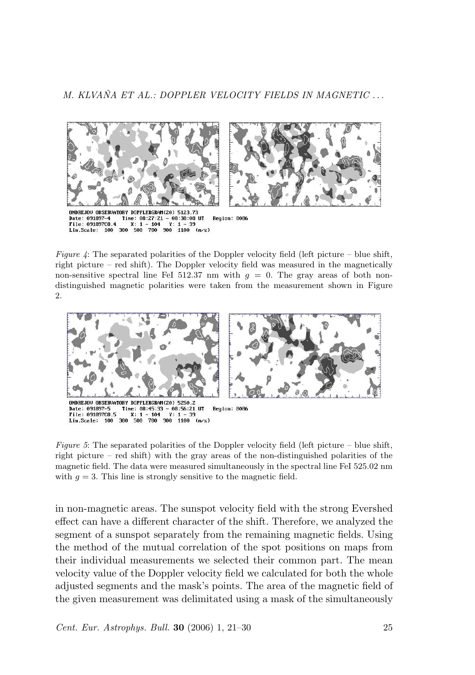

Figure 4: The separated polarities of the Doppler velocity field (left picture – blue shift, right picture – red shift). The Doppler velocity field was measured in the magnetically non-sensitive spectral line FeI 512.37 nm with  $g = 0$ . The gray areas of both nondistinguished magnetic polarities were taken from the measurement shown in Figure 2.



Figure 5: The separated polarities of the Doppler velocity field (left picture – blue shift, right picture – red shift) with the gray areas of the non-distinguished polarities of the magnetic field. The data were measured simultaneously in the spectral line FeI 525.02 nm with  $g = 3$ . This line is strongly sensitive to the magnetic field.

in non-magnetic areas. The sunspot velocity field with the strong Evershed effect can have a different character of the shift. Therefore, we analyzed the segment of a sunspot separately from the remaining magnetic fields. Using the method of the mutual correlation of the spot positions on maps from their individual measurements we selected their common part. The mean velocity value of the Doppler velocity field we calculated for both the whole adjusted segments and the mask's points. The area of the magnetic field of the given measurement was delimitated using a mask of the simultaneously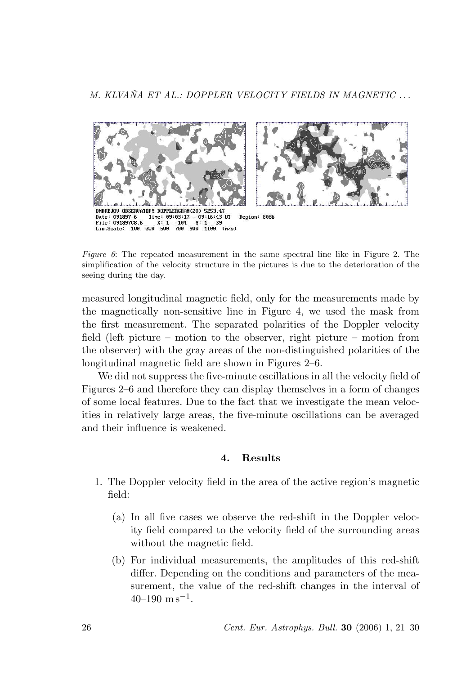

Figure 6: The repeated measurement in the same spectral line like in Figure 2. The simplification of the velocity structure in the pictures is due to the deterioration of the seeing during the day.

measured longitudinal magnetic field, only for the measurements made by the magnetically non-sensitive line in Figure 4, we used the mask from the first measurement. The separated polarities of the Doppler velocity field (left picture – motion to the observer, right picture – motion from the observer) with the gray areas of the non-distinguished polarities of the longitudinal magnetic field are shown in Figures 2–6.

We did not suppress the five-minute oscillations in all the velocity field of Figures 2–6 and therefore they can display themselves in a form of changes of some local features. Due to the fact that we investigate the mean velocities in relatively large areas, the five-minute oscillations can be averaged and their influence is weakened.

## 4. Results

- 1. The Doppler velocity field in the area of the active region's magnetic field:
	- (a) In all five cases we observe the red-shift in the Doppler velocity field compared to the velocity field of the surrounding areas without the magnetic field.
	- (b) For individual measurements, the amplitudes of this red-shift differ. Depending on the conditions and parameters of the measurement, the value of the red-shift changes in the interval of  $40-190$  m s<sup>-1</sup>.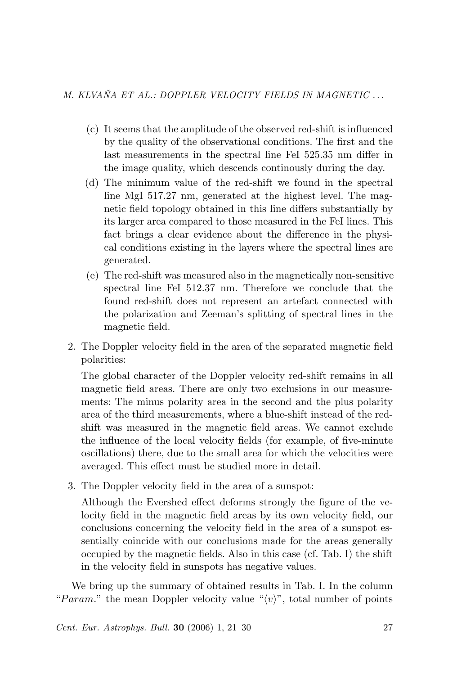- (c) It seems that the amplitude of the observed red-shift is influenced by the quality of the observational conditions. The first and the last measurements in the spectral line FeI 525.35 nm differ in the image quality, which descends continously during the day.
- (d) The minimum value of the red-shift we found in the spectral line MgI 517.27 nm, generated at the highest level. The magnetic field topology obtained in this line differs substantially by its larger area compared to those measured in the FeI lines. This fact brings a clear evidence about the difference in the physical conditions existing in the layers where the spectral lines are generated.
- (e) The red-shift was measured also in the magnetically non-sensitive spectral line FeI 512.37 nm. Therefore we conclude that the found red-shift does not represent an artefact connected with the polarization and Zeeman's splitting of spectral lines in the magnetic field.
- 2. The Doppler velocity field in the area of the separated magnetic field polarities:

The global character of the Doppler velocity red-shift remains in all magnetic field areas. There are only two exclusions in our measurements: The minus polarity area in the second and the plus polarity area of the third measurements, where a blue-shift instead of the redshift was measured in the magnetic field areas. We cannot exclude the influence of the local velocity fields (for example, of five-minute oscillations) there, due to the small area for which the velocities were averaged. This effect must be studied more in detail.

3. The Doppler velocity field in the area of a sunspot:

Although the Evershed effect deforms strongly the figure of the velocity field in the magnetic field areas by its own velocity field, our conclusions concerning the velocity field in the area of a sunspot essentially coincide with our conclusions made for the areas generally occupied by the magnetic fields. Also in this case (cf. Tab. I) the shift in the velocity field in sunspots has negative values.

We bring up the summary of obtained results in Tab. I. In the column "Param." the mean Doppler velocity value " $\langle v \rangle$ ", total number of points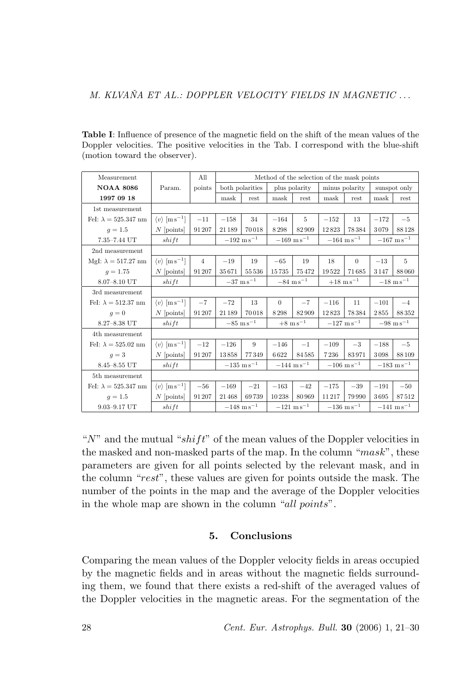Table I: Influence of presence of the magnetic field on the shift of the mean values of the Doppler velocities. The positive velocities in the Tab. I correspond with the blue-shift (motion toward the observer).

| Measurement                 | All<br>Method of the selection of the mask points |                |                         |       |                          |       |                         |          |                         |       |
|-----------------------------|---------------------------------------------------|----------------|-------------------------|-------|--------------------------|-------|-------------------------|----------|-------------------------|-------|
| <b>NOAA 8086</b>            | Param.                                            | points         | both polarities         |       | plus polarity            |       | minus polarity          |          | sunspot only            |       |
| 1997 09 18                  |                                                   |                | mask                    | rest  | mask                     | rest  | mask                    | rest     | mask                    | rest  |
| 1st measurement             |                                                   |                |                         |       |                          |       |                         |          |                         |       |
| FeI: $\lambda = 525.347$ nm | $\langle v \rangle$ [m s <sup>-1</sup> ]          | $-11$          | $-158$                  | 34    | $-164$                   | 5     | $-152$                  | 13       | $-172$                  | $-5$  |
| $q = 1.5$                   | $N$ [points]                                      | 91 207         | 21 189                  | 70018 | 8298                     | 82909 | 12823                   | 78384    | 3079                    | 88128 |
| 7.35-7.44 UT                | shift                                             |                | $-192 \text{ m s}^{-1}$ |       | $-169~{\rm m\,s^{-1}}$   |       | $-164 \text{ m s}^{-1}$ |          | $-167~{\rm m\,s^{-1}}$  |       |
| 2nd measurement             |                                                   |                |                         |       |                          |       |                         |          |                         |       |
| MgI: $\lambda = 517.27$ nm  | $\langle v \rangle$ [m s <sup>-1</sup> ]          | $\overline{4}$ | $-19$                   | 19    | $-65$                    | 19    | 18                      | $\theta$ | $-13$                   | 5     |
| $q = 1.75$                  | $N$ [points]                                      | 91 207         | 35671                   | 55536 | 15735                    | 75472 | 19522                   | 71685    | 3147                    | 88060 |
| 8.07-8.10 UT                | shift                                             |                | $-37~{\rm m\,s^{-1}}$   |       | $-84~{\rm m\,s^{-1}}$    |       | $+18~{\rm m\,s}^{-1}$   |          | $-18~{\rm m\,s^{-1}}$   |       |
| 3rd measurement             |                                                   |                |                         |       |                          |       |                         |          |                         |       |
| FeI: $\lambda = 512.37$ nm  | $\langle v \rangle$ [m s <sup>-1</sup> ]          | $-7$           | $-72$                   | 13    | $\theta$                 | $-7$  | $-116$                  | 11       | $-101$                  | $-4$  |
| $q=0$                       | $N$ [points]                                      | 91 207         | 21 189                  | 70018 | 8298                     | 82909 | 12823                   | 78384    | 2855                    | 88352 |
| 8.27-8.38 UT                | shift                                             |                | $-85~{\rm m\,s^{-1}}$   |       | $+8~{\rm m\,s^{-1}}$     |       | $-127~{\rm m\,s^{-1}}$  |          | $-98~{\rm m\,s^{-1}}$   |       |
| 4th measurement             |                                                   |                |                         |       |                          |       |                         |          |                         |       |
| FeI: $\lambda = 525.02$ nm  | $\langle v \rangle$ [m s <sup>-1</sup> ]          | $-12$          | $-126$                  | 9     | $-146$                   | $-1$  | $-109$                  | $-3$     | $-188$                  | $-5$  |
| $q=3$                       | $N$ [points]                                      | 91 207         | 13858                   | 77349 | 6622                     | 84585 | 7236                    | 83971    | 3098                    | 88109 |
| 8.45-8.55 UT                | shift                                             |                | $-135$ ms <sup>-1</sup> |       | $-144 \text{ m s}^{-1}$  |       | $-106~{\rm m\,s^{-1}}$  |          | $-183 \text{ m s}^{-1}$ |       |
| 5th measurement             |                                                   |                |                         |       |                          |       |                         |          |                         |       |
| FeI: $\lambda = 525.347$ nm | $\langle v \rangle$ [m s <sup>-1</sup> ]          | $-56$          | $-169$                  | $-21$ | $-163$                   | $-42$ | $-175$                  | $-39$    | $-191$                  | $-50$ |
| $q = 1.5$                   | $N$ [points]                                      | 91 207         | 21468                   | 69739 | 10238                    | 80969 | 11217                   | 79990    | 3695                    | 87512 |
| $9.03 - 9.17$ UT            | shift                                             |                | $-148~{\rm m\,s}^{-1}$  |       | $-121$ m s <sup>-1</sup> |       | $-136$ ms <sup>-1</sup> |          | $-141 \text{ m s}^{-1}$ |       |

" $N$ " and the mutual "shift" of the mean values of the Doppler velocities in the masked and non-masked parts of the map. In the column " $mask$ ", these parameters are given for all points selected by the relevant mask, and in the column "rest", these values are given for points outside the mask. The number of the points in the map and the average of the Doppler velocities in the whole map are shown in the column "all points".

## 5. Conclusions

Comparing the mean values of the Doppler velocity fields in areas occupied by the magnetic fields and in areas without the magnetic fields surrounding them, we found that there exists a red-shift of the averaged values of the Doppler velocities in the magnetic areas. For the segmentation of the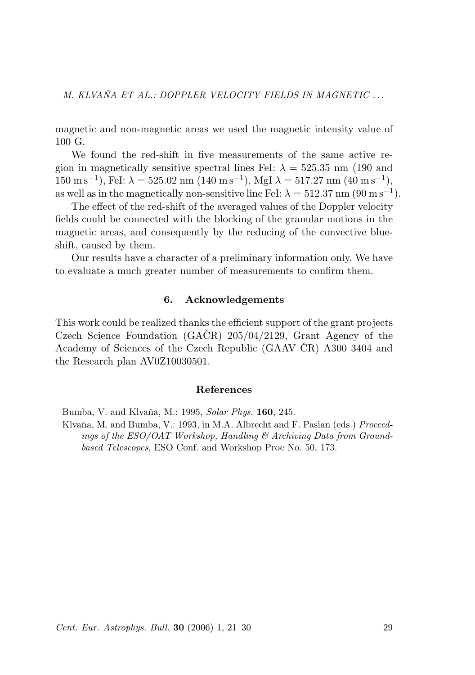magnetic and non-magnetic areas we used the magnetic intensity value of 100 G.

We found the red-shift in five measurements of the same active region in magnetically sensitive spectral lines FeI:  $\lambda = 525.35$  nm (190 and  $150 \text{ m s}^{-1}$ ), FeI:  $\lambda = 525.02 \text{ nm} (140 \text{ m s}^{-1})$ , MgI  $\lambda = 517.27 \text{ nm} (40 \text{ m s}^{-1})$ , as well as in the magnetically non-sensitive line FeI:  $\lambda = 512.37$  nm (90 m s<sup>-1</sup>).

The effect of the red-shift of the averaged values of the Doppler velocity fields could be connected with the blocking of the granular motions in the magnetic areas, and consequently by the reducing of the convective blueshift, caused by them.

Our results have a character of a preliminary information only. We have to evaluate a much greater number of measurements to confirm them.

## 6. Acknowledgements

This work could be realized thanks the efficient support of the grant projects Czech Science Foundation  $(GACR)$  205/04/2129, Grant Agency of the Academy of Sciences of the Czech Republic (GAAV ČR) A300 3404 and the Research plan AV0Z10030501.

#### References

Bumba, V. and Klvaňa, M.: 1995, Solar Phys. 160, 245.

Klvaňa, M. and Bumba, V.: 1993, in M.A. Albrecht and F. Pasian (eds.) Proceedings of the  $ESO/OAT$  Workshop, Handling  $\mathcal C$  Archiving Data from Groundbased Telescopes, ESO Conf. and Workshop Proc No. 50, 173.